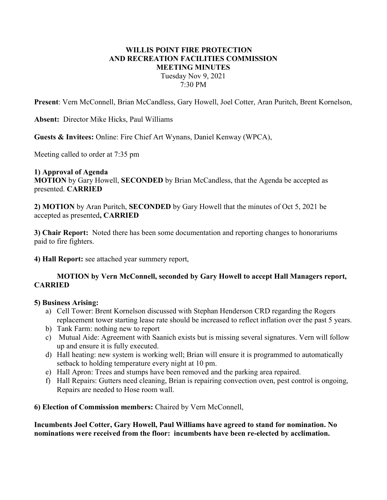# WILLIS POINT FIRE PROTECTION AND RECREATION FACILITIES COMMISSION MEETING MINUTES Tuesday Nov 9, 2021 7:30 PM

Present: Vern McConnell, Brian McCandless, Gary Howell, Joel Cotter, Aran Puritch, Brent Kornelson,

Absent: Director Mike Hicks, Paul Williams

Guests & Invitees: Online: Fire Chief Art Wynans, Daniel Kenway (WPCA),

Meeting called to order at 7:35 pm

1) Approval of Agenda MOTION by Gary Howell, SECONDED by Brian McCandless, that the Agenda be accepted as presented. CARRIED

2) MOTION by Aran Puritch, SECONDED by Gary Howell that the minutes of Oct 5, 2021 be accepted as presented, CARRIED

3) Chair Report: Noted there has been some documentation and reporting changes to honorariums paid to fire fighters.

4) Hall Report: see attached year summery report,

## MOTION by Vern McConnell, seconded by Gary Howell to accept Hall Managers report, **CARRIED**

#### 5) Business Arising:

- a) Cell Tower: Brent Kornelson discussed with Stephan Henderson CRD regarding the Rogers replacement tower starting lease rate should be increased to reflect inflation over the past 5 years.
- b) Tank Farm: nothing new to report
- c) Mutual Aide: Agreement with Saanich exists but is missing several signatures. Vern will follow up and ensure it is fully executed.
- d) Hall heating: new system is working well; Brian will ensure it is programmed to automatically setback to holding temperature every night at 10 pm.
- e) Hall Apron: Trees and stumps have been removed and the parking area repaired.
- f) Hall Repairs: Gutters need cleaning, Brian is repairing convection oven, pest control is ongoing, Repairs are needed to Hose room wall.

6) Election of Commission members: Chaired by Vern McConnell,

Incumbents Joel Cotter, Gary Howell, Paul Williams have agreed to stand for nomination. No nominations were received from the floor: incumbents have been re-elected by acclimation.